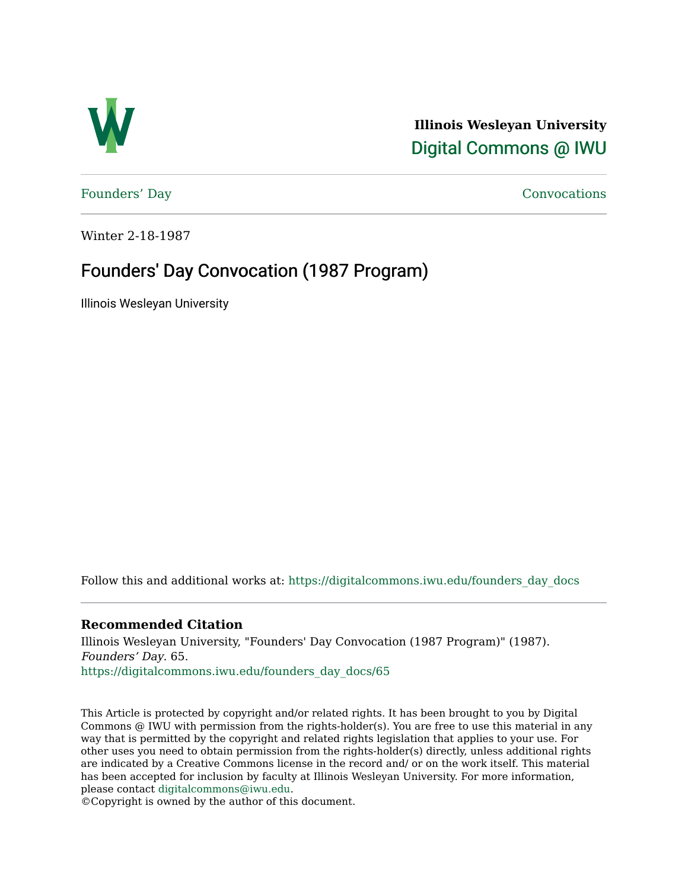

**Illinois Wesleyan University**  [Digital Commons @ IWU](https://digitalcommons.iwu.edu/) 

[Founders' Day](https://digitalcommons.iwu.edu/founders_day_docs) [Convocations](https://digitalcommons.iwu.edu/convocations_docs) 

Winter 2-18-1987

#### Founders' Day Convocation (1987 Program)

Illinois Wesleyan University

Follow this and additional works at: [https://digitalcommons.iwu.edu/founders\\_day\\_docs](https://digitalcommons.iwu.edu/founders_day_docs?utm_source=digitalcommons.iwu.edu%2Ffounders_day_docs%2F65&utm_medium=PDF&utm_campaign=PDFCoverPages) 

#### **Recommended Citation**

Illinois Wesleyan University, "Founders' Day Convocation (1987 Program)" (1987). Founders' Day. 65. [https://digitalcommons.iwu.edu/founders\\_day\\_docs/65](https://digitalcommons.iwu.edu/founders_day_docs/65?utm_source=digitalcommons.iwu.edu%2Ffounders_day_docs%2F65&utm_medium=PDF&utm_campaign=PDFCoverPages)

This Article is protected by copyright and/or related rights. It has been brought to you by Digital Commons @ IWU with permission from the rights-holder(s). You are free to use this material in any way that is permitted by the copyright and related rights legislation that applies to your use. For other uses you need to obtain permission from the rights-holder(s) directly, unless additional rights are indicated by a Creative Commons license in the record and/ or on the work itself. This material has been accepted for inclusion by faculty at Illinois Wesleyan University. For more information, please contact [digitalcommons@iwu.edu.](mailto:digitalcommons@iwu.edu)

©Copyright is owned by the author of this document.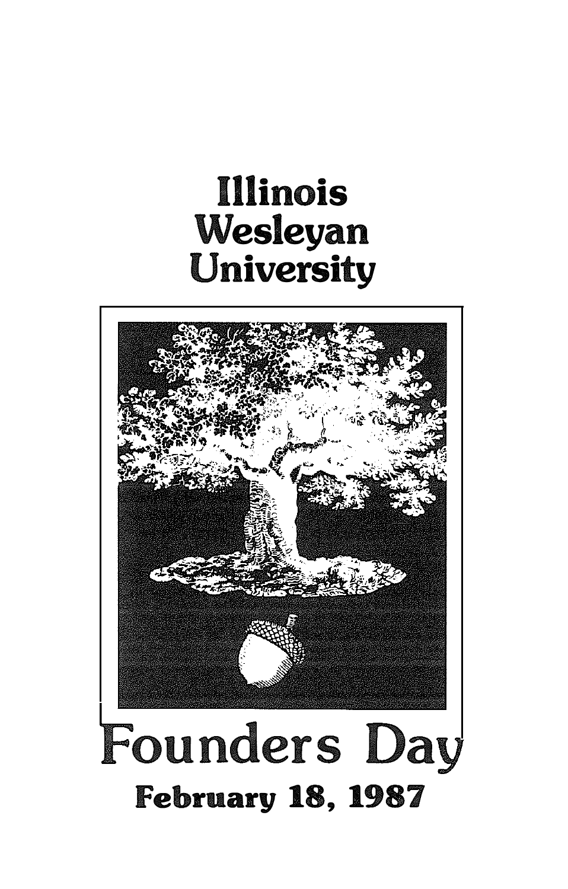# **Illinois** Wesleyan University

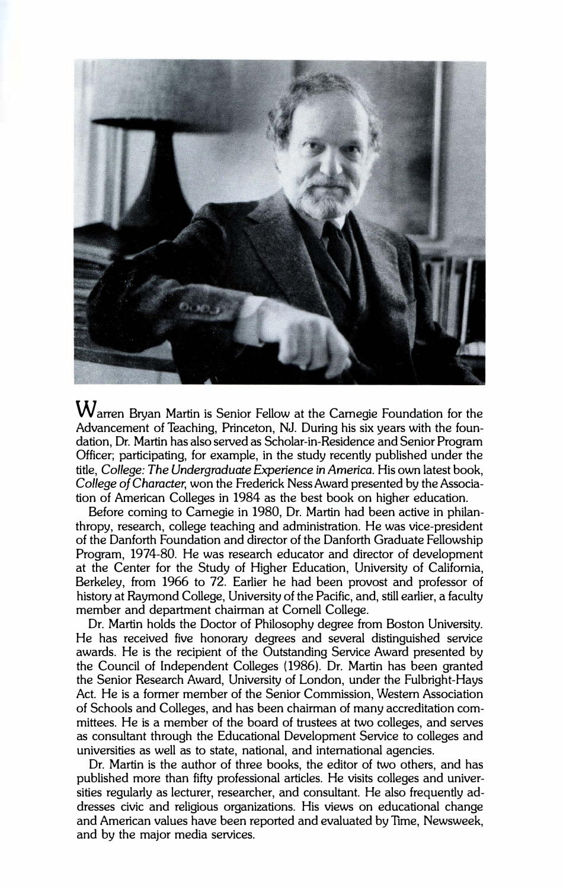

Warren Bryan Martin is Senior Fellow at the Carnegie Foundation for the Advancement of Teaching, Princeton, NJ. During his six years with the foundation, Dr. Martin has also served as Scholar-in-Residence and Senior Program Officer; participating, for example, in the study recently published under the title, College: The Undergraduate Experience in America. His own latest book, College of Character, won the Frederick Ness Award presented by the Association of American Colleges in 1984 as the best book on higher education.

Before coming to Carnegie in 1980, Dr. Martin had been active in philanthropy, research, college teaching and administration. He was vice-president of the Danforth Foundation and director of the Danforth Graduate Fellowship Program, 1974-80. He was research educator and director of development at the Center for the Study of Higher Education, University of California, Berkeley, from 1966 to 72. Earlier he had been provost and professor of history at Raymond College, University of the Pacific, and, still earlier, a faculty member and department chairman at Cornell College.

Dr. Martin holds the Doctor of Philosophy degree from Boston University. He has received five honorary degrees and several distinguished service awards. He is the recipient of the Outstanding Service Award presented by the Council of Independent Colleges (1986). Dr. Martin has been granted the Senior Research Award, University of London, under the Fulbright-Hays Act. He is a former member of the Senior Commission, Western Association of Schools and Colleges, and has been chairman of many accreditation committees. He is a member of the board of trustees at two colleges, and serves as consultant through the Educational Development Service to colleges and universities as well as to state, national, and international agencies.

Dr. Martin is the author of three books, the editor of two others, and has published more than fifty professional articles. He visits colleges and universities regularly as lecturer, researcher, and consultant. He also frequently addresses civic and religious organizations. His views on educational change and American values have been reported and evaluated by Time, Newsweek, and by the major media services.